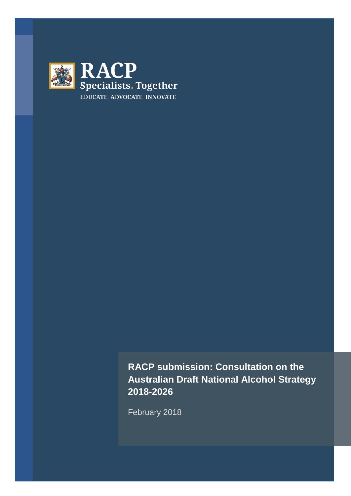

**RACP submission: Consultation on the Australian Draft National Alcohol Strategy 2018-2026**

February 2018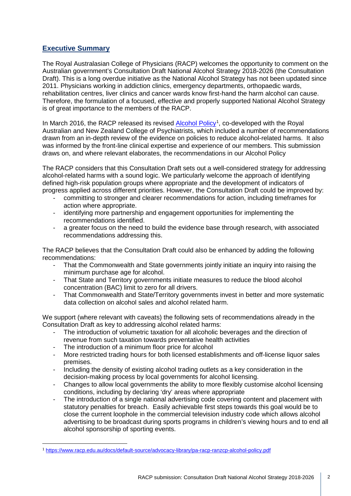# **Executive Summary**

The Royal Australasian College of Physicians (RACP) welcomes the opportunity to comment on the Australian government's Consultation Draft National Alcohol Strategy 2018-2026 (the Consultation Draft). This is a long overdue initiative as the National Alcohol Strategy has not been updated since 2011. Physicians working in addiction clinics, emergency departments, orthopaedic wards, rehabilitation centres, liver clinics and cancer wards know first-hand the harm alcohol can cause. Therefore, the formulation of a focused, effective and properly supported National Alcohol Strategy is of great importance to the members of the RACP.

In March 20[1](#page-1-0)6, the RACP released its revised **Alcohol Policy<sup>1</sup>, co-developed with the Royal** Australian and New Zealand College of Psychiatrists, which included a number of recommendations drawn from an in-depth review of the evidence on policies to reduce alcohol-related harms. It also was informed by the front-line clinical expertise and experience of our members. This submission draws on, and where relevant elaborates, the recommendations in our Alcohol Policy

The RACP considers that this Consultation Draft sets out a well-considered strategy for addressing alcohol-related harms with a sound logic. We particularly welcome the approach of identifying defined high-risk population groups where appropriate and the development of indicators of progress applied across different priorities. However, the Consultation Draft could be improved by:

- committing to stronger and clearer recommendations for action, including timeframes for action where appropriate.
- identifying more partnership and engagement opportunities for implementing the recommendations identified.
- a greater focus on the need to build the evidence base through research, with associated recommendations addressing this.

The RACP believes that the Consultation Draft could also be enhanced by adding the following recommendations:

- That the Commonwealth and State governments jointly initiate an inquiry into raising the minimum purchase age for alcohol.
- That State and Territory governments initiate measures to reduce the blood alcohol concentration (BAC) limit to zero for all drivers.
- That Commonwealth and State/Territory governments invest in better and more systematic data collection on alcohol sales and alcohol related harm.

We support (where relevant with caveats) the following sets of recommendations already in the Consultation Draft as key to addressing alcohol related harms:

- The introduction of volumetric taxation for all alcoholic beverages and the direction of revenue from such taxation towards preventative health activities
- The introduction of a minimum floor price for alcohol
- More restricted trading hours for both licensed establishments and off-license liquor sales premises.
- Including the density of existing alcohol trading outlets as a key consideration in the decision-making process by local governments for alcohol licensing.
- Changes to allow local governments the ability to more flexibly customise alcohol licensing conditions, including by declaring 'dry' areas where appropriate
- The introduction of a single national advertising code covering content and placement with statutory penalties for breach. Easily achievable first steps towards this goal would be to close the current loophole in the commercial television industry code which allows alcohol advertising to be broadcast during sports programs in children's viewing hours and to end all alcohol sponsorship of sporting events.

<span id="page-1-0"></span> <sup>1</sup> <https://www.racp.edu.au/docs/default-source/advocacy-library/pa-racp-ranzcp-alcohol-policy.pdf>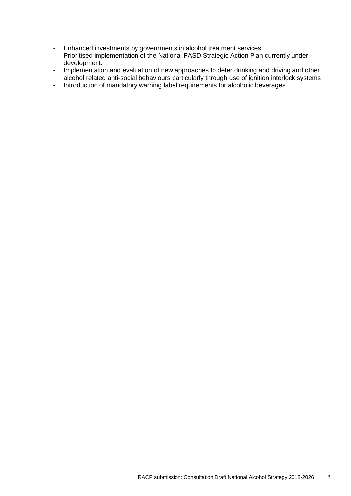- Enhanced investments by governments in alcohol treatment services.<br>- Prioritised implementation of the National FASD Strategic Action Plan
- Prioritised implementation of the National FASD Strategic Action Plan currently under development.
- Implementation and evaluation of new approaches to deter drinking and driving and other alcohol related anti-social behaviours particularly through use of ignition interlock systems
- Introduction of mandatory warning label requirements for alcoholic beverages.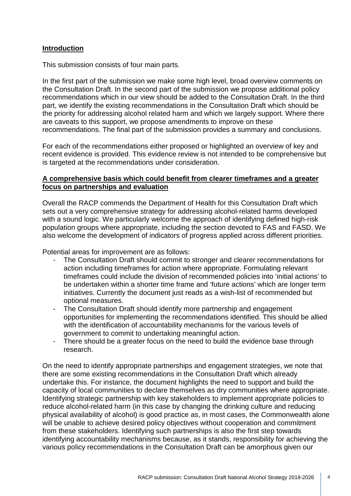# **Introduction**

This submission consists of four main parts.

In the first part of the submission we make some high level, broad overview comments on the Consultation Draft. In the second part of the submission we propose additional policy recommendations which in our view should be added to the Consultation Draft. In the third part, we identify the existing recommendations in the Consultation Draft which should be the priority for addressing alcohol related harm and which we largely support. Where there are caveats to this support, we propose amendments to improve on these recommendations. The final part of the submission provides a summary and conclusions.

For each of the recommendations either proposed or highlighted an overview of key and recent evidence is provided. This evidence review is not intended to be comprehensive but is targeted at the recommendations under consideration.

## **A comprehensive basis which could benefit from clearer timeframes and a greater focus on partnerships and evaluation**

Overall the RACP commends the Department of Health for this Consultation Draft which sets out a very comprehensive strategy for addressing alcohol-related harms developed with a sound logic. We particularly welcome the approach of identifying defined high-risk population groups where appropriate, including the section devoted to FAS and FASD. We also welcome the development of indicators of progress applied across different priorities.

Potential areas for improvement are as follows:

- The Consultation Draft should commit to stronger and clearer recommendations for action including timeframes for action where appropriate. Formulating relevant timeframes could include the division of recommended policies into 'initial actions' to be undertaken within a shorter time frame and 'future actions' which are longer term initiatives. Currently the document just reads as a wish-list of recommended but optional measures.
- The Consultation Draft should identify more partnership and engagement opportunities for implementing the recommendations identified. This should be allied with the identification of accountability mechanisms for the various levels of government to commit to undertaking meaningful action.
- There should be a greater focus on the need to build the evidence base through research.

On the need to identify appropriate partnerships and engagement strategies, we note that there are some existing recommendations in the Consultation Draft which already undertake this. For instance, the document highlights the need to support and build the capacity of local communities to declare themselves as dry communities where appropriate. Identifying strategic partnership with key stakeholders to implement appropriate policies to reduce alcohol-related harm (in this case by changing the drinking culture and reducing physical availability of alcohol) is good practice as, in most cases, the Commonwealth alone will be unable to achieve desired policy objectives without cooperation and commitment from these stakeholders. Identifying such partnerships is also the first step towards identifying accountability mechanisms because, as it stands, responsibility for achieving the various policy recommendations in the Consultation Draft can be amorphous given our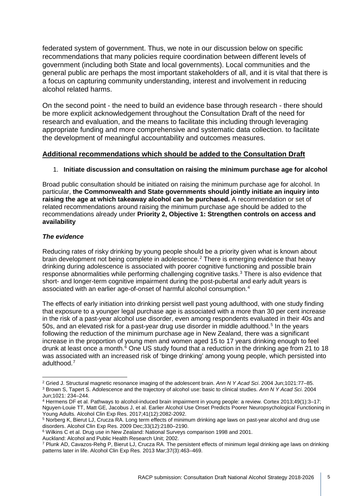federated system of government. Thus, we note in our discussion below on specific recommendations that many policies require coordination between different levels of government (including both State and local governments). Local communities and the general public are perhaps the most important stakeholders of all, and it is vital that there is a focus on capturing community understanding, interest and involvement in reducing alcohol related harms.

On the second point - the need to build an evidence base through research - there should be more explicit acknowledgement throughout the Consultation Draft of the need for research and evaluation, and the means to facilitate this including through leveraging appropriate funding and more comprehensive and systematic data collection. to facilitate the development of meaningful accountability and outcomes measures.

# **Additional recommendations which should be added to the Consultation Draft**

## 1. **Initiate discussion and consultation on raising the minimum purchase age for alcohol**

Broad public consultation should be initiated on raising the minimum purchase age for alcohol. In particular, **the Commonwealth and State governments should jointly initiate an inquiry into raising the age at which takeaway alcohol can be purchased.** A recommendation or set of related recommendations around raising the minimum purchase age should be added to the recommendations already under **Priority 2, Objective 1: Strengthen controls on access and availability**

### *The evidence*

Reducing rates of risky drinking by young people should be a priority given what is known about brain development not being complete in adolescence.<sup>[2](#page-4-0)</sup> There is emerging evidence that heavy drinking during adolescence is associated with poorer cognitive functioning and possible brain response abnormalities while performing challenging cognitive tasks.[3](#page-4-1) There is also evidence that short- and longer-term cognitive impairment during the post-pubertal and early adult years is associated with an earlier age-of-onset of harmful alcohol consumption.[4](#page-4-2)

The effects of early initiation into drinking persist well past young adulthood, with one study finding that exposure to a younger legal purchase age is associated with a more than 30 per cent increase in the risk of a past-year alcohol use disorder, even among respondents evaluated in their 40s and [5](#page-4-3)0s, and an elevated risk for a past-year drug use disorder in middle adulthood.<sup>5</sup> In the years following the reduction of the minimum purchase age in New Zealand, there was a significant increase in the proportion of young men and women aged 15 to 17 years drinking enough to feel drunk at least once a month.<sup>[6](#page-4-4)</sup> One US study found that a reduction in the drinking age from 21 to 18 was associated with an increased risk of 'binge drinking' among young people, which persisted into adulthood.[7](#page-4-5)

Auckland: Alcohol and Public Health Research Unit; 2002.

<span id="page-4-1"></span><span id="page-4-0"></span><sup>2</sup> Gried J. Structural magnetic resonance imaging of the adolescent brain. *Ann N Y Acad Sci*. 2004 Jun;1021:77–85. <sup>3</sup> Brown S, Tapert S. Adolescence and the trajectory of alcohol use: basic to clinical studies. *Ann N Y Acad Sci*. 2004

<span id="page-4-2"></span><sup>&</sup>lt;sup>4</sup> Hermens DF et al. Pathways to alcohol-induced brain impairment in young people: a review. Cortex 2013;49(1):3–17; Nguyen-Louie TT, Matt GE, Jacobus J, et al. Earlier Alcohol Use Onset Predicts Poorer Neuropsychological Functioning in Young Adults. Alcohol Clin Exp Res. 2017;41(12):2082-2092.

<span id="page-4-3"></span><sup>5</sup> Norberg K, Bierut LJ, Crucza RA. Long term effects of minimum drinking age laws on past-year alcohol and drug use disorders. Alcohol Clin Exp Res. 2009 Dec;33(12):2180–2190.

<span id="page-4-4"></span><sup>6</sup> Wilkins C et al. Drug use in New Zealand: National Surveys comparison 1998 and 2001.

<span id="page-4-5"></span><sup>7</sup> Plunk AD, Cavazos-Rehg P, Bierut LJ, Crucza RA. The persistent effects of minimum legal drinking age laws on drinking patterns later in life. Alcohol Clin Exp Res*.* 2013 Mar;37(3):463–469.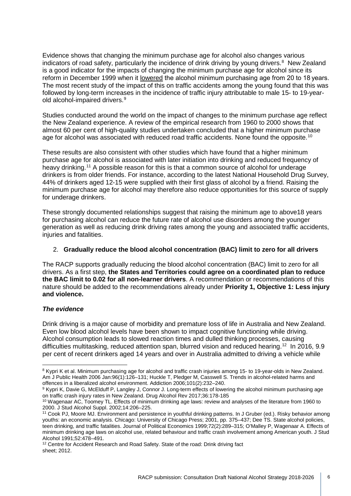Evidence shows that changing the minimum purchase age for alcohol also changes various indicators of road safety, particularly the incidence of drink driving by young drivers.<sup>[8](#page-5-0)</sup> New Zealand is a good indicator for the impacts of changing the minimum purchase age for alcohol since its reform in December 1999 when it lowered the alcohol minimum purchasing age from 20 to 18 years. The most recent study of the impact of this on traffic accidents among the young found that this was followed by long-term increases in the incidence of traffic injury attributable to male 15- to 19-yearold alcohol-impaired drivers.[9](#page-5-1)

Studies conducted around the world on the impact of changes to the minimum purchase age reflect the New Zealand experience. A review of the empirical research from 1960 to 2000 shows that almost 60 per cent of high-quality studies undertaken concluded that a higher minimum purchase age for alcohol was associated with reduced road traffic accidents. None found the opposite.<sup>[10](#page-5-2)</sup>

These results are also consistent with other studies which have found that a higher minimum purchase age for alcohol is associated with later initiation into drinking and reduced frequency of heavy drinking.<sup>[11](#page-5-3)</sup> A possible reason for this is that a common source of alcohol for underage drinkers is from older friends. For instance, according to the latest National Household Drug Survey, 44% of drinkers aged 12-15 were supplied with their first glass of alcohol by a friend. Raising the minimum purchase age for alcohol may therefore also reduce opportunities for this source of supply for underage drinkers.

These strongly documented relationships suggest that raising the minimum age to above18 years for purchasing alcohol can reduce the future rate of alcohol use disorders among the younger generation as well as reducing drink driving rates among the young and associated traffic accidents, injuries and fatalities.

### 2. **Gradually reduce the blood alcohol concentration (BAC) limit to zero for all drivers**

The RACP supports gradually reducing the blood alcohol concentration (BAC) limit to zero for all drivers. As a first step, **the States and Territories could agree on a coordinated plan to reduce the BAC limit to 0.02 for all non-learner drivers**. A recommendation or recommendations of this nature should be added to the recommendations already under **Priority 1, Objective 1: Less injury and violence.**

### *The evidence*

Drink driving is a major cause of morbidity and premature loss of life in Australia and New Zealand. Even low blood alcohol levels have been shown to impact cognitive functioning while driving. Alcohol consumption leads to slowed reaction times and dulled thinking processes, causing difficulties multitasking, reduced attention span, blurred vision and reduced hearing.<sup>[12](#page-5-4)</sup> In 2016, 9.9 per cent of recent drinkers aged 14 years and over in Australia admitted to driving a vehicle while

<span id="page-5-0"></span><sup>&</sup>lt;sup>8</sup> Kypri K et al. Minimum purchasing age for alcohol and traffic crash injuries among 15- to 19-year-olds in New Zealand. Am J Public Health 2006 Jan:96(1):126–131; Huckle T, Pledger M, Casswell S. Trends in alcohol-related harms and offences in a liberalized alcohol environment. Addiction 2006;101(2):232–240.<br><sup>9</sup> Kypri K, Davie G, McElduff P, Langley J, Connor J. Long-term effects of lowering the alcohol minimum purchasing age

<span id="page-5-1"></span>on traffic crash injury rates in New Zealand. Drug Alcohol Rev 2017;36:178-185

<span id="page-5-2"></span><sup>10</sup> Wagenaar AC, Toomey TL. Effects of minimum drinking age laws: review and analyses of the literature from 1960 to 2000. J Stud Alcohol Suppl. 2002;14:206–225.

<span id="page-5-3"></span><sup>11</sup> Cook PJ, Moore MJ. Environment and persistence in youthful drinking patterns. In J Gruber (ed.). Risky behavior among youths: an economic analysis. Chicago: University of Chicago Press; 2001, pp. 375–437; Dee TS. State alcohol policies, teen drinking, and traffic fatalities. Journal of Political Economics 1999;72(2):289–315; O'Malley P, Wagenaar A. Effects of minimum drinking age laws on alcohol use, related behaviour and traffic crash involvement among American youth. J Stud Alcohol 1991;52:478–491.

<span id="page-5-4"></span><sup>&</sup>lt;sup>12</sup> Centre for Accident Research and Road Safety. State of the road: Drink driving fact sheet; 2012.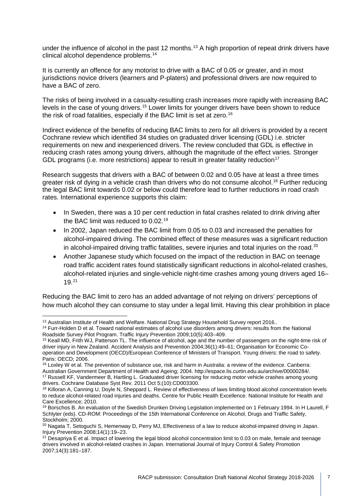under the influence of alcohol in the past 12 months. [13](#page-6-0) A high proportion of repeat drink drivers have clinical alcohol dependence problems.[14](#page-6-1)

It is currently an offence for any motorist to drive with a BAC of 0.05 or greater, and in most jurisdictions novice drivers (learners and P-platers) and professional drivers are now required to have a BAC of zero.

The risks of being involved in a casualty-resulting crash increases more rapidly with increasing BAC levels in the case of young drivers.<sup>[15](#page-6-2)</sup> Lower limits for younger drivers have been shown to reduce the risk of road fatalities, especially if the BAC limit is set at zero.<sup>[16](#page-6-3)</sup>

Indirect evidence of the benefits of reducing BAC limits to zero for all drivers is provided by a recent Cochrane review which identified 34 studies on graduated driver licensing (GDL) i.e. stricter requirements on new and inexperienced drivers. The review concluded that GDL is effective in reducing crash rates among young drivers, although the magnitude of the effect varies. Stronger GDL programs (i.e. more restrictions) appear to result in greater fatality reduction<sup>[17](#page-6-4)</sup>

Research suggests that drivers with a BAC of between 0.02 and 0.05 have at least a three times greater risk of dying in a vehicle crash than drivers who do not consume alcohol.<sup>[18](#page-6-5)</sup> Further reducing the legal BAC limit towards 0.02 or below could therefore lead to further reductions in road crash rates. International experience supports this claim:

- In Sweden, there was a 10 per cent reduction in fatal crashes related to drink driving after the BAC limit was reduced to 0.02.<sup>[19](#page-6-6)</sup>
- In 2002, Japan reduced the BAC limit from 0.05 to 0.03 and increased the penalties for alcohol-impaired driving. The combined effect of these measures was a significant reduction in alcohol-impaired driving traffic fatalities, severe injuries and total injuries on the road.<sup>[20](#page-6-7)</sup>
- Another Japanese study which focused on the impact of the reduction in BAC on teenage road traffic accident rates found statistically significant reductions in alcohol-related crashes, alcohol-related injuries and single-vehicle night-time crashes among young drivers aged 16– 19.[21](#page-6-8)

Reducing the BAC limit to zero has an added advantage of not relying on drivers' perceptions of how much alcohol they can consume to stay under a legal limit. Having this clear prohibition in place

<span id="page-6-0"></span><sup>&</sup>lt;sup>13</sup> Australian Institute of Health and Welfare. National Drug Strategy Household Survey report 2016..

<span id="page-6-1"></span><sup>&</sup>lt;sup>14</sup> Furr-Holden D et al. Toward national estimates of alcohol use disorders among drivers: results from the National Roadside Survey Pilot Program. Traffic Injury Prevention 2009;10(5):403-409.

<span id="page-6-2"></span><sup>&</sup>lt;sup>15</sup> Keall MD, Frith WJ, Patterson TL. The influence of alcohol, age and the number of passengers on the night-time risk of driver injury in New Zealand. Accident Analysis and Prevention 2004;36(1):49–61; Organisation for Economic Cooperation and Development (OECD)/European Conference of Ministers of Transport. Young drivers: the road to safety. Paris: OECD; 2006.

<sup>16</sup> Loxley W et al. The prevention of substance use, risk and harm in Australia: a review of the evidence. Canberra:

<span id="page-6-4"></span><span id="page-6-3"></span>Australian Government Department of Health and Ageing; 2004. http://espace.lis.curtin.edu.au/archive/00000284/. <sup>17</sup> Russell KF, Vandermeer B, Hartling L. Graduated driver licensing for reducing motor vehicle crashes among young drivers. Cochrane Database Syst Rev. 2011 Oct 5;(10):CD003300.

<span id="page-6-5"></span><sup>&</sup>lt;sup>18</sup> Killoran A, Canning U, Doyle N, Sheppard L. Review of effectiveness of laws limiting blood alcohol concentration levels to reduce alcohol-related road injuries and deaths. Centre for Public Health Excellence. National Institute for Health and Care Excellence; 2010.

<span id="page-6-6"></span><sup>&</sup>lt;sup>19</sup> Borschos B. An evaluation of the Swedish Drunken Driving Legislation implemented on 1 February 1994. In H Laurell, F Schlyter (eds). CD-ROM: Proceedings of the 15th International Conference on Alcohol, Drugs and Traffic Safety, Stockholm; 2000.

<span id="page-6-7"></span><sup>20</sup> Nagata T, Setoguchi S, Hemenway D, Perry MJ, Effectiveness of a law to reduce alcohol-impaired driving in Japan. Injury Prevention 2008;14(1):19–23.

<span id="page-6-8"></span> $21$  Desapriya E et al. Impact of lowering the legal blood alcohol concentration limit to 0.03 on male, female and teenage drivers involved in alcohol-related crashes in Japan. International Journal of Injury Control & Safety Promotion 2007;14(3):181–187.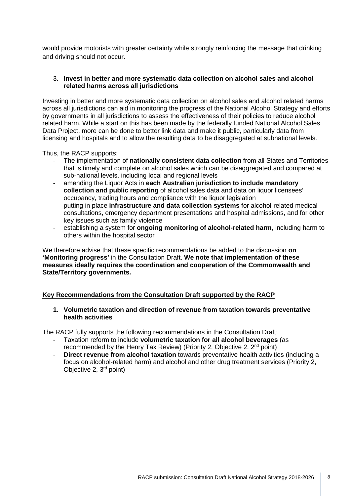would provide motorists with greater certainty while strongly reinforcing the message that drinking and driving should not occur.

#### 3. **Invest in better and more systematic data collection on alcohol sales and alcohol related harms across all jurisdictions**

Investing in better and more systematic data collection on alcohol sales and alcohol related harms across all jurisdictions can aid in monitoring the progress of the National Alcohol Strategy and efforts by governments in all jurisdictions to assess the effectiveness of their policies to reduce alcohol related harm. While a start on this has been made by the federally funded National Alcohol Sales Data Project, more can be done to better link data and make it public, particularly data from licensing and hospitals and to allow the resulting data to be disaggregated at subnational levels.

Thus, the RACP supports:

- The implementation of **nationally consistent data collection** from all States and Territories that is timely and complete on alcohol sales which can be disaggregated and compared at sub-national levels, including local and regional levels
- amending the Liquor Acts in **each Australian jurisdiction to include mandatory collection and public reporting** of alcohol sales data and data on liquor licensees' occupancy, trading hours and compliance with the liquor legislation
- putting in place **infrastructure and data collection systems** for alcohol-related medical consultations, emergency department presentations and hospital admissions, and for other key issues such as family violence
- establishing a system for **ongoing monitoring of alcohol-related harm**, including harm to others within the hospital sector

We therefore advise that these specific recommendations be added to the discussion **on 'Monitoring progress'** in the Consultation Draft. **We note that implementation of these measures ideally requires the coordination and cooperation of the Commonwealth and State/Territory governments.** 

### **Key Recommendations from the Consultation Draft supported by the RACP**

#### **1. Volumetric taxation and direction of revenue from taxation towards preventative health activities**

The RACP fully supports the following recommendations in the Consultation Draft:

- Taxation reform to include **volumetric taxation for all alcohol beverages** (as recommended by the Henry Tax Review) (Priority 2, Objective 2,  $2<sup>nd</sup>$  point)
- **Direct revenue from alcohol taxation** towards preventative health activities (including a focus on alcohol-related harm) and alcohol and other drug treatment services (Priority 2, Objective 2, 3rd point)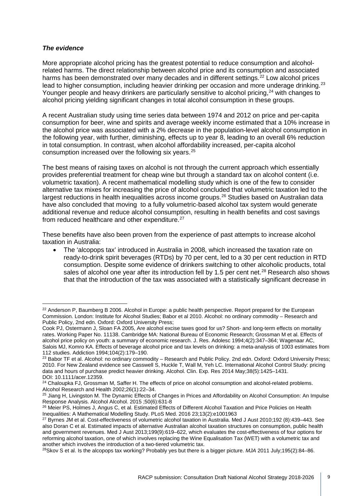#### *The evidence*

More appropriate alcohol pricing has the greatest potential to reduce consumption and alcoholrelated harms. The direct relationship between alcohol price and its consumption and associated harms has been demonstrated over many decades and in different settings.<sup>[22](#page-8-0)</sup> Low alcohol prices lead to higher consumption, including heavier drinking per occasion and more underage drinking.<sup>[23](#page-8-1)</sup> Younger people and heavy drinkers are particularly sensitive to alcohol pricing,<sup>[24](#page-8-2)</sup> with changes to alcohol pricing yielding significant changes in total alcohol consumption in these groups.

A recent Australian study using time series data between 1974 and 2012 on price and per-capita consumption for beer, wine and spirits and average weekly income estimated that a 10% increase in the alcohol price was associated with a 2% decrease in the population-level alcohol consumption in the following year, with further, diminishing, effects up to year 8, leading to an overall 6% reduction in total consumption. In contrast, when alcohol affordability increased, per-capita alcohol consumption increased over the following six years.[25](#page-8-3)

The best means of raising taxes on alcohol is not through the current approach which essentially provides preferential treatment for cheap wine but through a standard tax on alcohol content (i.e. volumetric taxation). A recent mathematical modelling study which is one of the few to consider alternative tax mixes for increasing the price of alcohol concluded that volumetric taxation led to the largest reductions in health inequalities across income groups.<sup>[26](#page-8-4)</sup> Studies based on Australian data have also concluded that moving to a fully volumetric-based alcohol tax system would generate additional revenue and reduce alcohol consumption, resulting in health benefits and cost savings from reduced healthcare and other expenditure.<sup>27</sup>

These benefits have also been proven from the experience of past attempts to increase alcohol taxation in Australia:

• The 'alcopops tax' introduced in Australia in 2008, which increased the taxation rate on ready-to-drink spirit beverages (RTDs) by 70 per cent, led to a 30 per cent reduction in RTD consumption. Despite some evidence of drinkers switching to other alcoholic products, total sales of alcohol one year after its introduction fell by 1.5 per cent net.<sup>[28](#page-8-6)</sup> Research also shows that that the introduction of the tax was associated with a statistically significant decrease in

<span id="page-8-0"></span><sup>&</sup>lt;sup>22</sup> Anderson P, Baumberg B 2006. Alcohol in Europe: a public health perspective. Report prepared for the European Commission. London: Institute for Alcohol Studies; Babor et al 2010. Alcohol: no ordinary commodity – Research and Public Policy, 2nd edn. Oxford: Oxford University Press;

Cook PJ, Ostermann J, Sloan FA 2005, Are alcohol excise taxes good for us? Short- and long-term effects on mortality rates. Working Paper No. 11138. Cambridge MA: National Bureau of Economic Research; Grossman M et al. Effects of alcohol price policy on youth: a summary of economic research. J. Res. Adolesc 1994;4(2):347–364; Wagenaar AC, Salois MJ, Komro KA. Effects of beverage alcohol price and tax levels on drinking: a meta-analysis of 1003 estimates from<br>112 studies. Addiction 1994;104(2):179–190.

<span id="page-8-1"></span><sup>&</sup>lt;sup>23</sup> Babor TF et al. Alcohol: no ordinary commodity – Research and Public Policy. 2nd edn. Oxford: Oxford University Press; 2010. For New Zealand evidence see Casswell S, Huckle T, Wall M, Yeh LC. International Alcohol Control Study: pricing data and hours of purchase predict heavier drinking. Alcohol. Clin. Exp. Res 2014 May;38(5):1425–1431. DOI: 10.1111/acer.12359.

<span id="page-8-2"></span><sup>&</sup>lt;sup>24</sup> Chaloupka FJ, Grossman M, Saffer H. The effects of price on alcohol consumption and alcohol-related problems.<br>Alcohol Research and Health 2002;26(1):22–34.

<span id="page-8-3"></span><sup>&</sup>lt;sup>25</sup> Jiang H, Livingston M. The Dynamic Effects of Changes in Prices and Affordability on Alcohol Consumption: An Impulse Response Analysis. Alcohol Alcohol. 2015 ;50(6):631-8

<span id="page-8-4"></span><sup>&</sup>lt;sup>26</sup> Meier PS, Holmes J, Angus C, et al. Estimated Effects of Different Alcohol Taxation and Price Policies on Health Inequalities: A Mathematical Modelling Study. PLoS Med. 2016 23;13(2):e1001963

<span id="page-8-5"></span><sup>27</sup> Byrnes JM et al. Cost-effectiveness of volumetric alcohol taxation in Australia. Med J Aust 2010;192 (8):439–443. See also Doran C et al. Estimated impacts of alternative Australian alcohol taxation structures on consumption, public health and government revenues. Med J Aust 2013;199(9):619–622, which evaluates the cost-effectiveness of four options for reforming alcohol taxation, one of which involves replacing the Wine Equalisation Tax (WET) with a volumetric tax and another which involves the introduction of a two-tiered volumetric tax.<br><sup>28</sup>Skov S et al. Is the alcopops tax working? Probably yes but there is a bigger picture. *MJA* 2011 July;195(2):84–86.

<span id="page-8-6"></span>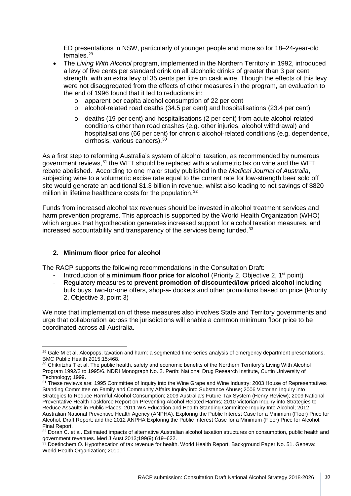ED presentations in NSW, particularly of younger people and more so for 18–24-year-old females.[29](#page-9-0)

- The *Living With Alcohol* program, implemented in the Northern Territory in 1992, introduced a levy of five cents per standard drink on all alcoholic drinks of greater than 3 per cent strength, with an extra levy of 35 cents per litre on cask wine. Though the effects of this levy were not disaggregated from the effects of other measures in the program, an evaluation to the end of 1996 found that it led to reductions in:
	- o apparent per capita alcohol consumption of 22 per cent
	- o alcohol-related road deaths (34.5 per cent) and hospitalisations (23.4 per cent)
	- o deaths (19 per cent) and hospitalisations (2 per cent) from acute alcohol-related conditions other than road crashes (e.g. other injuries, alcohol withdrawal) and hospitalisations (66 per cent) for chronic alcohol-related conditions (e.g. dependence, cirrhosis, various cancers).[30](#page-9-1)

As a first step to reforming Australia's system of alcohol taxation, as recommended by numerous government reviews,<sup>[31](#page-9-2)</sup> the WET should be replaced with a volumetric tax on wine and the WET rebate abolished. According to one major study published in the *Medical Journal of Australia*, subjecting wine to a volumetric excise rate equal to the current rate for low-strength beer sold off site would generate an additional \$1.3 billion in revenue, whilst also leading to net savings of \$820 million in lifetime healthcare costs for the population.<sup>[32](#page-9-3)</sup>

Funds from increased alcohol tax revenues should be invested in alcohol treatment services and harm prevention programs. This approach is supported by the World Health Organization (WHO) which argues that hypothecation generates increased support for alcohol taxation measures, and increased accountability and transparency of the services being funded.<sup>[33](#page-9-4)</sup>

### **2. Minimum floor price for alcohol**

The RACP supports the following recommendations in the Consultation Draft:

- Introduction of a **minimum floor price for alcohol** (Priority 2, Objective 2, 1<sup>st</sup> point)
- Regulatory measures to **prevent promotion of discounted/low priced alcohol** including bulk buys, two-for-one offers, shop-a- dockets and other promotions based on price (Priority 2, Objective 3, point 3)

We note that implementation of these measures also involves State and Territory governments and urge that collaboration across the jurisdictions will enable a common minimum floor price to be coordinated across all Australia.

<span id="page-9-0"></span><sup>&</sup>lt;sup>29</sup> Gale M et al. Alcopops, taxation and harm: a segmented time series analysis of emergency department presentations. BMC Public Health 2015;15:468.

<span id="page-9-1"></span><sup>30</sup> Chikritzhs T et al. The public health, safety and economic benefits of the Northern Territory's Living With Alcohol Program 1992/2 to 1995/6. NDRI Monograph No. 2. Perth: National Drug Research Institute, Curtin University of Technology; 1999.

<span id="page-9-2"></span><sup>&</sup>lt;sup>31</sup> These reviews are: 1995 Committee of Inquiry into the Wine Grape and Wine Industry; 2003 House of Representatives Standing Committee on Family and Community Affairs Inquiry into Substance Abuse; 2006 Victorian Inquiry into Strategies to Reduce Harmful Alcohol Consumption; 2009 Australia's Future Tax System (Henry Review); 2009 National Preventative Health Taskforce Report on Preventing Alcohol Related Harms; 2010 Victorian Inquiry into Strategies to Reduce Assaults in Public Places; 2011 WA Education and Health Standing Committee Inquiry Into Alcohol; 2012 Australian National Preventive Health Agency (ANPHA), Exploring the Public Interest Case for a Minimum (Floor) Price for Alcohol, Draft Report; and the 2012 ANPHA Exploring the Public Interest Case for a Minimum (Floor) Price for Alcohol, Final Report.

<span id="page-9-3"></span><sup>32</sup> Doran C. et al. Estimated impacts of alternative Australian alcohol taxation structures on consumption, public health and government revenues. Med J Aust 2013;199(9):619–622.<br><sup>33</sup> Doetinchem O. Hypothecation of tax revenue for health. World Health Report. Background Paper No. 51. Geneva:

<span id="page-9-4"></span>World Health Organization; 2010.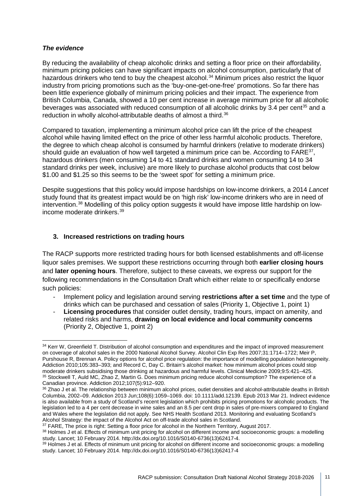### *The evidence*

By reducing the availability of cheap alcoholic drinks and setting a floor price on their affordability, minimum pricing policies can have significant impacts on alcohol consumption, particularly that of hazardous drinkers who tend to buy the cheapest alcohol.<sup>[34](#page-10-0)</sup> Minimum prices also restrict the liquor industry from pricing promotions such as the 'buy-one-get-one-free' promotions. So far there has been little experience globally of minimum pricing policies and their impact. The experience from British Columbia, Canada, showed a 10 per cent increase in average minimum price for all alcoholic beverages was associated with reduced consumption of all alcoholic drinks by 3.4 per cent<sup>[35](#page-10-1)</sup> and a reduction in wholly alcohol-attributable deaths of almost a third.<sup>[36](#page-10-2)</sup>

Compared to taxation, implementing a minimum alcohol price can lift the price of the cheapest alcohol while having limited effect on the price of other less harmful alcoholic products. Therefore, the degree to which cheap alcohol is consumed by harmful drinkers (relative to moderate drinkers) should quide an evaluation of how well targeted a minimum price can be. According to  $FARE^{37}$  $FARE^{37}$  $FARE^{37}$ , hazardous drinkers (men consuming 14 to 41 standard drinks and women consuming 14 to 34 standard drinks per week, inclusive) are more likely to purchase alcohol products that cost below \$1.00 and \$1.25 so this seems to be the 'sweet spot' for setting a minimum price.

Despite suggestions that this policy would impose hardships on low-income drinkers, a 2014 *Lancet*  study found that its greatest impact would be on 'high risk' low-income drinkers who are in need of intervention.<sup>[38](#page-10-4)</sup> Modelling of this policy option suggests it would have impose little hardship on lowincome moderate drinkers.[39](#page-10-5)

### **3. Increased restrictions on trading hours**

The RACP supports more restricted trading hours for both licensed establishments and off-license liquor sales premises. We support these restrictions occurring through both **earlier closing hours** and **later opening hours**. Therefore, subject to these caveats, we express our support for the following recommendations in the Consultation Draft which either relate to or specifically endorse such policies:

- Implement policy and legislation around serving **restrictions after a set time** and the type of drinks which can be purchased and cessation of sales (Priority 1, Objective 1, point 1)
- **Licensing procedures** that consider outlet density, trading hours, impact on amenity, and related risks and harms, **drawing on local evidence and local community concerns** (Priority 2, Objective 1, point 2)

<span id="page-10-0"></span><sup>34</sup> Kerr W, Greenfield T. Distribution of alcohol consumption and expenditures and the impact of improved measurement on coverage of alcohol sales in the 2000 National Alcohol Survey. Alcohol Clin Exp Res 2007;31:1714–1722; Meir P, Purshouse R, Brennan A. Policy options for alcohol price regulation: the importance of modelling population heterogeneity. Addiction 2010;105:383–393; and Record C, Day C. Britain's alcohol market: how minimum alcohol prices could stop moderate drinkers subsidising those drinking at hazardous and harmful levels. Clinical Medicine 2009;9:5:421–425. 35 Stockwell T, Auld MC, Zhao Z, Martin G. Does minimum pricing reduce alcohol consumption? The experience of a Canadian province. Addiction 2012;107(5):912–920.<br><sup>36</sup> Zhao J et al. The relationship between minimum alcohol prices, outlet densities and alcohol-attributable deaths in British

<span id="page-10-2"></span><span id="page-10-1"></span>Columbia, 2002–09. Addiction 2013 Jun;108(6):1059–1069. doi: 10.1111/add.12139. Epub 2013 Mar 21. Indirect evidence is also available from a study of Scotland's recent legislation which prohibits pricing promotions for alcoholic products. The legislation led to a 4 per cent decrease in wine sales and an 8.5 per cent drop in sales of pre-mixers compared to England and Wales where the legislation did not apply. See NHS Health Scotland 2013. Monitoring and evaluating Scotland's Alcohol Strategy: the impact of the Alcohol Act on off-trade alcohol sales in Scotland.

<span id="page-10-4"></span>

<span id="page-10-3"></span><sup>&</sup>lt;sup>37</sup> FARE, The price is right: Setting a floor price for alcohol in the Northern Territory, August 2017.<br><sup>38</sup> Holmes J et al. Effects of minimum unit pricing for alcohol on different income and socioeconomic groups: a mode study. Lancet; 10 February 2014. http://dx.doi.org/10.1016/S0140-6736(13)62417-4.

<span id="page-10-5"></span><sup>39</sup> Holmes J et al. Effects of minimum unit pricing for alcohol on different income and socioeconomic groups: a modelling study. Lancet; 10 February 2014. http://dx.doi.org/10.1016/S0140-6736(13)62417-4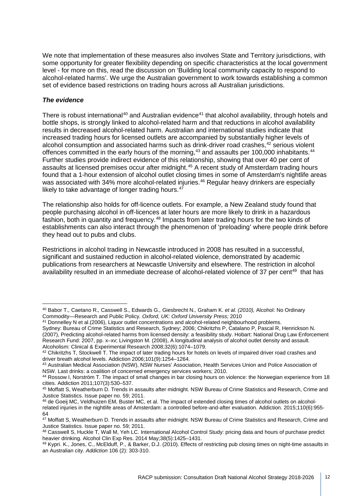We note that implementation of these measures also involves State and Territory jurisdictions, with some opportunity for greater flexibility depending on specific characteristics at the local government level - for more on this, read the discussion on 'Building local community capacity to respond to alcohol-related harms'. We urge the Australian government to work towards establishing a common set of evidence based restrictions on trading hours across all Australian jurisdictions.

### *The evidence*

There is robust international<sup>[40](#page-11-0)</sup> and Australian evidence<sup>[41](#page-11-1)</sup> that alcohol availability, through hotels and bottle shops, is strongly linked to alcohol-related harm and that reductions in alcohol availability results in decreased alcohol-related harm. Australian and international studies indicate that increased trading hours for licensed outlets are accompanied by substantially higher levels of alcohol consumption and associated harms such as drink-driver road crashes,<sup>[42](#page-11-2)</sup> serious violent offences committed in the early hours of the morning,<sup>[43](#page-11-3)</sup> and assaults per 100,000 inhabitants.<sup>[44](#page-11-4)</sup> Further studies provide indirect evidence of this relationship, showing that over 40 per cent of assaults at licensed premises occur after midnight.<sup>[45](#page-11-5)</sup> A recent study of Amsterdam trading hours found that a 1-hour extension of alcohol outlet closing times in some of Amsterdam's nightlife areas was associated with 34% more alcohol-related injuries.<sup>[46](#page-11-6)</sup> Regular heavy drinkers are especially likely to take advantage of longer trading hours. $47$ 

The relationship also holds for off-licence outlets. For example, a New Zealand study found that people purchasing alcohol in off-licences at later hours are more likely to drink in a hazardous fashion, both in quantity and frequency.<sup>[48](#page-11-8)</sup> Impacts from later trading hours for the two kinds of establishments can also interact through the phenomenon of 'preloading' where people drink before they head out to pubs and clubs.

Restrictions in alcohol trading in Newcastle introduced in 2008 has resulted in a successful, significant and sustained reduction in alcohol-related violence, demonstrated by academic publications from researchers at Newcastle University and elsewhere. The restriction in alcohol availability resulted in an immediate decrease of alcohol-related violence of 37 per cent<sup>[49](#page-11-9)</sup> that has

<span id="page-11-0"></span><sup>40</sup> Babor T.*,* Caetano R.*,* Casswell S.*,* Edwards G.*,* Giesbrecht N.*,* Graham K. *et al. (2010),* Alcohol: No Ordinary Commodity—Research and Public Policy*. Oxford, UK: Oxford University Press;* 2010

<span id="page-11-1"></span><sup>&</sup>lt;sup>41</sup> Donnelley N et al.(2006), Liquor outlet concentrations and alcohol-related neighbourhood problems. Sydney: Bureau of Crime Statistics and Research, Sydney; 2006; Chikritzhs P, Catalano P, Pascal R, Henrickson N.

<sup>(2007),</sup> Predicting alcohol-related harms from licensed density: a feasibility study. Hobart: National Drug Law Enforcement Research Fund: 2007, pp. x–xv; Livingston M. (2008), A longitudinal analysis of alcohol outlet density and assault. Alcoholism: Clinical & Experimental Research 2008;32(6):1074–1079.

<span id="page-11-2"></span><sup>42</sup> Chikritzhs T, Stockwell T. The impact of later trading hours for hotels on levels of impaired driver road crashes and driver breath alcohol levels. Addiction 2006;101(9):1254–1264.

<span id="page-11-3"></span><sup>43</sup> Australian Medical Association (NSW), NSW Nurses' Association, Health Services Union and Police Association of NSW. Last drinks: a coalition of concerned emergency services workers; 2010.

<span id="page-11-4"></span><sup>44</sup> Rossow I, Norström T. The impact of small changes in bar closing hours on violence: the Norwegian experience from 18 cities. Addiction 2011;107(3):530–537.

<span id="page-11-5"></span><sup>45</sup> Moffatt S, Weatherburn D. Trends in assaults after midnight. NSW Bureau of Crime Statistics and Research, Crime and Justice Statistics. Issue paper no. 59; 2011.

<span id="page-11-6"></span><sup>46</sup> de Goeij MC, Veldhuizen EM, Buster MC, et al. The impact of extended closing times of alcohol outlets on alcoholrelated injuries in the nightlife areas of Amsterdam: a controlled before-and-after evaluation. Addiction. 2015;110(6):955- 64

<span id="page-11-7"></span><sup>&</sup>lt;sup>47</sup> Moffatt S, Weatherburn D. Trends in assaults after midnight. NSW Bureau of Crime Statistics and Research, Crime and Justice Statistics. Issue paper no. 59; 2011.

<span id="page-11-8"></span><sup>48</sup> Casswell S, Huckle T, Wall M, Yeh LC. International Alcohol Control Study: pricing data and hours of purchase predict heavier drinking. Alcohol Clin Exp Res. 2014 May;38(5):1425–1431.

<span id="page-11-9"></span><sup>49</sup> Kypri. K., Jones, C., McElduff, P., & Barker, D.J. (2010). Effects of restricting pub closing times on night-time assaults in an Australian city. *Addiction* 106 (2): 303-310.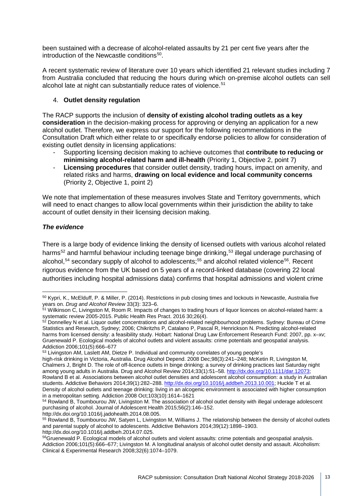been sustained with a decrease of alcohol-related assaults by 21 per cent five years after the introduction of the Newcastle conditions<sup>50</sup>.

A recent systematic review of literature over 10 years which identified 21 relevant studies including 7 from Australia concluded that reducing the hours during which on-premise alcohol outlets can sell alcohol late at night can substantially reduce rates of violence.<sup>[51](#page-12-1)</sup>

### 4. **Outlet density regulation**

The RACP supports the inclusion of **density of existing alcohol trading outlets as a key consideration** in the decision-making process for approving or denying an application for a new alcohol outlet. Therefore, we express our support for the following recommendations in the Consultation Draft which either relate to or specifically endorse policies to allow for consideration of existing outlet density in licensing applications:

- Supporting licensing decision making to achieve outcomes that **contribute to reducing or minimising alcohol-related harm and ill-health** (Priority 1, Objective 2, point 7)
- **Licensing procedures** that consider outlet density, trading hours, impact on amenity, and related risks and harms, **drawing on local evidence and local community concerns** (Priority 2, Objective 1, point 2)

We note that implementation of these measures involves State and Territory governments, which will need to enact changes to allow local governments within their jurisdiction the ability to take account of outlet density in their licensing decision making.

## *The evidence*

There is a large body of evidence linking the density of licensed outlets with various alcohol related harms<sup>[52](#page-12-2)</sup> and harmful behaviour including teenage binge drinking,<sup>[53](#page-12-3)</sup> illegal underage purchasing of alcohol,<sup>[54](#page-12-4)</sup> secondary supply of alcohol to adolescents;<sup>[55](#page-12-5)</sup> and alcohol related violence<sup>56</sup>. Recent rigorous evidence from the UK based on 5 years of a record-linked database (covering 22 local authorities including hospital admissions data) confirms that hospital admissions and violent crime

<span id="page-12-0"></span><sup>50</sup> Kypri, K., McElduff, P. & Miller, P. (2014). Restrictions in pub closing times and lockouts in Newcastle, Australia five years on. *Drug and Alcohol Review* 33(3): 323–6.

<span id="page-12-1"></span><sup>51</sup> Wilkinson C, Livingston M, Room R. Impacts of changes to trading hours of liquor licences on alcohol-related harm: a systematic review 2005-2015. Public Health Res Pract. 2016 30;26(4).

<span id="page-12-2"></span><sup>&</sup>lt;sup>52</sup> Donnelley N et al. Liquor outlet concentrations and alcohol-related neighbourhood problems. Sydney: Bureau of Crime Statistics and Research, Sydney; 2006; Chikritzhs P, Catalano P, Pascal R, Henrickson N. Predicting alcohol-related harms from licensed density: a feasibility study. Hobart: National Drug Law Enforcement Research Fund: 2007, pp. x-xv; Gruenewald P. Ecological models of alcohol outlets and violent assaults: crime potentials and geospatial analysis. Addiction 2006;101(5):666–677

<span id="page-12-3"></span><sup>53</sup> Livingston AM, Laslett AM, Dietze P. Individual and community correlates of young people's

high-risk drinking in Victoria, Australia. Drug Alcohol Depend. 2008 Dec;98(3):241–248; McKetin R, Livingston M, Chalmers J, Bright D. The role of off-licence outlets in binge drinking: a survey of drinking practices last Saturday night among young adults in Australia. Drug and Alcohol Review 2014;33(1):51–58[. http://dx.doi.org/10.1111/dar.12073;](http://dx.doi.org/10.1111/dar.12073) Rowland B et al. Associations between alcohol outlet densities and adolescent alcohol consumption: a study in Australian students. Addictive Behaviors 2014;39(1):282-288[. http://dx.doi.org/10.1016/j.addbeh.2013.10.001;](http://dx.doi.org/10.1016/j.addbeh.2013.10.001) Huckle T et al. Density of alcohol outlets and teenage drinking: living in an alcogenic environment is associated with higher consumption in a metropolitan setting. Addiction 2008 Oct;103(10):1614–1621

<span id="page-12-4"></span><sup>54</sup> Rowland B, Toumbourou JW, Livingston M. The association of alcohol outlet density with illegal underage adolescent purchasing of alcohol. Journal of Adolescent Health 2015;56(2):146–152.

http://dx.doi.org/10.1016/j.jadohealth.2014.08.005.

<span id="page-12-5"></span><sup>55</sup> Rowland B, Toumbourou JW, Satyen L, Livingston M, Williams J. The relationship between the density of alcohol outlets and parental supply of alcohol to adolescents. Addictive Behaviors 2014;39(12):1898–1903. http://dx.doi.org/10.1016/j.addbeh.2014.07.025.

<span id="page-12-6"></span><sup>56</sup>Gruenewald P. Ecological models of alcohol outlets and violent assaults: crime potentials and geospatial analysis. Addiction 2006;101(5):666–677; Livingston M. A longitudinal analysis of alcohol outlet density and assault. Alcoholism: Clinical & Experimental Research 2008;32(6):1074–1079.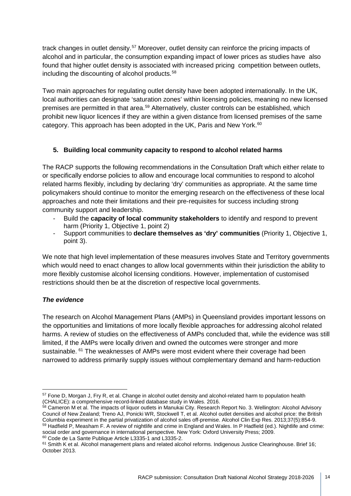track changes in outlet density.<sup>[57](#page-13-0)</sup> Moreover, outlet density can reinforce the pricing impacts of alcohol and in particular, the consumption expanding impact of lower prices as studies have also found that higher outlet density is associated with increased pricing competition between outlets, including the discounting of alcohol products.<sup>[58](#page-13-1)</sup>

Two main approaches for regulating outlet density have been adopted internationally. In the UK, local authorities can designate 'saturation zones' within licensing policies, meaning no new licensed premises are permitted in that area.<sup>[59](#page-13-2)</sup> Alternatively, cluster controls can be established, which prohibit new liquor licences if they are within a given distance from licensed premises of the same category. This approach has been adopted in the UK, Paris and New York.<sup>[60](#page-13-3)</sup>

## **5. Building local community capacity to respond to alcohol related harms**

The RACP supports the following recommendations in the Consultation Draft which either relate to or specifically endorse policies to allow and encourage local communities to respond to alcohol related harms flexibly, including by declaring 'dry' communities as appropriate. At the same time policymakers should continue to monitor the emerging research on the effectiveness of these local approaches and note their limitations and their pre-requisites for success including strong community support and leadership.

- Build the **capacity of local community stakeholders** to identify and respond to prevent harm (Priority 1, Objective 1, point 2)
- Support communities to **declare themselves as 'dry' communities** (Priority 1, Objective 1, point 3).

We note that high level implementation of these measures involves State and Territory governments which would need to enact changes to allow local governments within their jurisdiction the ability to more flexibly customise alcohol licensing conditions. However, implementation of customised restrictions should then be at the discretion of respective local governments.

## *The evidence*

The research on Alcohol Management Plans (AMPs) in Queensland provides important lessons on the opportunities and limitations of more locally flexible approaches for addressing alcohol related harms. A review of studies on the effectiveness of AMPs concluded that, while the evidence was still limited, if the AMPs were locally driven and owned the outcomes were stronger and more sustainable. <sup>[61](#page-13-4)</sup> The weaknesses of AMPs were most evident where their coverage had been narrowed to address primarily supply issues without complementary demand and harm-reduction

<span id="page-13-3"></span><span id="page-13-2"></span><sup>60</sup> Code de La Sante Publique Article L3335-1 and L3335-2.

<sup>&</sup>lt;sup>57</sup> Fone D, Morgan J, Fry R, et al. Change in alcohol outlet density and alcohol-related harm to population health

<span id="page-13-1"></span><span id="page-13-0"></span><sup>(</sup>CHALICE): a comprehensive record-linked database study in Wales. 2016.<br><sup>58</sup> Cameron M et al. The impacts of liquor outlets in Manukai City. Research Report No. 3. Wellington: Alcohol Advisory Council of New Zealand; Treno AJ, Ponicki WR, Stockwell T, et al. Alcohol outlet densities and alcohol price: the British Columbia experiment in the partial privatization of alcohol sales off-premise. Alcohol Clin Exp Res. 2013;37(5):854-9. 59 Hadfield P, Measham F. A review of nightlife and crime in England and Wales. In P Hadfield (ed.). Nightlife and crime: social order and governance in international perspective. New York: Oxford University Press; 2009.

<span id="page-13-4"></span><sup>61</sup> Smith K et al. Alcohol management plans and related alcohol reforms. Indigenous Justice Clearinghouse. Brief 16; October 2013.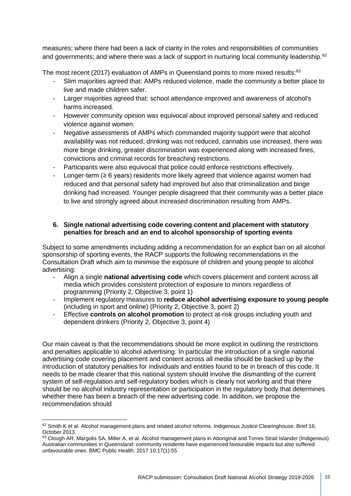measures; where there had been a lack of clarity in the roles and responsibilities of communities and governments; and where there was a lack of support in nurturing local community leadership.<sup>[62](#page-14-0)</sup>

The most recent (2017) evaluation of AMPs in Queensland points to more mixed results:<sup>[63](#page-14-1)</sup>

- Slim majorities agreed that: AMPs reduced violence, made the community a better place to live and made children safer.
- Larger majorities agreed that: school attendance improved and awareness of alcohol's harms increased.
- However community opinion was equivocal about improved personal safety and reduced violence against women.
- Negative assessments of AMPs which commanded majority support were that alcohol availability was not reduced, drinking was not reduced, cannabis use increased, there was more binge drinking, greater discrimination was experienced along with increased fines, convictions and criminal records for breaching restrictions.
- Participants were also equivocal that police could enforce restrictions effectively.
- Longer-term ( $\geq 6$  years) residents more likely agreed that violence against women had reduced and that personal safety had improved but also that criminalization and binge drinking had increased. Younger people disagreed that their community was a better place to live and strongly agreed about increased discrimination resulting from AMPs.

### **6. Single national advertising code covering content and placement with statutory penalties for breach and an end to alcohol sponsorship of sporting events**

Subject to some amendments including adding a recommendation for an explicit ban on all alcohol sponsorship of sporting events, the RACP supports the following recommendations in the Consultation Draft which aim to minimise the exposure of children and young people to alcohol advertising:

- Align a single **national advertising code** which covers placement and content across all media which provides consistent protection of exposure to minors regardless of programming (Priority 2, Objective 3, point 1)
- Implement regulatory measures to **reduce alcohol advertising exposure to young people** (including in sport and online) (Priority 2, Objective 3, point 2)
- Effective **controls on alcohol promotion** to protect at-risk groups including youth and dependent drinkers (Priority 2, Objective 3, point 4)

Our main caveat is that the recommendations should be more explicit in outlining the restrictions and penalties applicable to alcohol advertising. In particular the introduction of a single national advertising code covering placement and content across all media should be backed up by the introduction of statutory penalties for individuals and entities found to be in breach of this code. It needs to be made clearer that this national system should involve the dismantling of the current system of self-regulation and self-regulatory bodies which is clearly not working and that there should be no alcohol industry representation or participation in the regulatory body that determines whether there has been a breach of the new advertising code. In addition, we propose the recommendation should

<span id="page-14-0"></span><sup>62</sup> Smith K et al. Alcohol management plans and related alcohol reforms. Indigenous Justice Clearinghouse. Brief 16; October 2013.

<span id="page-14-1"></span><sup>63</sup> Clough AR, Margolis SA, Miller A, et al. Alcohol management plans in Aboriginal and Torres Strait Islander (Indigenous) Australian communities in Queensland: community residents have experienced favourable impacts but also suffered unfavourable ones. BMC Public Health. 2017 10;17(1):55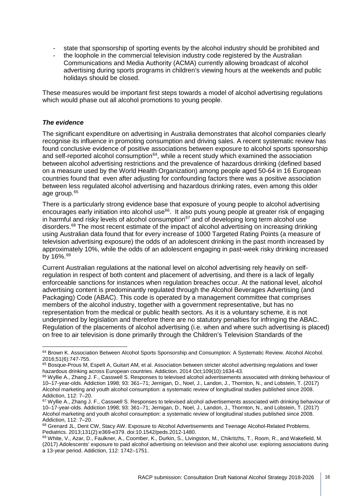- state that sponsorship of sporting events by the alcohol industry should be prohibited and
- the loophole in the commercial television industry code registered by the Australian Communications and Media Authority (ACMA) currently allowing broadcast of alcohol advertising during sports programs in children's viewing hours at the weekends and public holidays should be closed.

These measures would be important first steps towards a model of alcohol advertising regulations which would phase out all alcohol promotions to young people.

#### *The evidence*

The significant expenditure on advertising in Australia demonstrates that alcohol companies clearly recognise its influence in promoting consumption and driving sales. A recent systematic review has found conclusive evidence of positive associations between exposure to alcohol sports sponsorship and self-reported alcohol consumption $64$ , while a recent study which examined the association between alcohol advertising restrictions and the prevalence of hazardous drinking (defined based on a measure used by the World Health Organization) among people aged 50-64 in 16 European countries found that even after adjusting for confounding factors there was a positive association between less regulated alcohol advertising and hazardous drinking rates, even among this older age group. [65](#page-15-1)

There is a particularly strong evidence base that exposure of young people to alcohol advertising encourages early initiation into alcohol use<sup>66</sup>. It also puts young people at greater risk of engaging in harmful and risky levels of alcohol consumption $67$  and of developing long term alcohol use disorders.[68](#page-15-4) The most recent estimate of the impact of alcohol advertising on increasing drinking using Australian data found that for every increase of 1000 Targeted Rating Points (a measure of television advertising exposure) the odds of an adolescent drinking in the past month increased by approximately 10%, while the odds of an adolescent engaging in past-week risky drinking increased by 16%.<sup>[69](#page-15-5)</sup>

Current Australian regulations at the national level on alcohol advertising rely heavily on selfregulation in respect of both content and placement of advertising, and there is a lack of legally enforceable sanctions for instances when regulation breaches occur. At the national level, alcohol advertising content is predominantly regulated through the Alcohol Beverages Advertising (and Packaging) Code (ABAC). This code is operated by a management committee that comprises members of the alcohol industry, together with a government representative, but has no representation from the medical or public health sectors. As it is a voluntary scheme, it is not underpinned by legislation and therefore there are no statutory penalties for infringing the ABAC. Regulation of the placements of alcohol advertising (i.e. when and where such advertising is placed) on free to air television is done primarily through the Children's Television Standards of the

<span id="page-15-0"></span><sup>64</sup> Brown K. Association Between Alcohol Sports Sponsorship and Consumption: A Systematic Review. Alcohol Alcohol. 2016;51(6):747-755.

<span id="page-15-1"></span><sup>65</sup> Bosque-Prous M, Espelt A, Guitart AM, et al. Association between stricter alcohol advertising regulations and lower hazardous drinking across European countries. Addiction. 2014 Oct;109(10):1634-43.

<span id="page-15-2"></span><sup>&</sup>lt;sup>66</sup> Wyllie A., Zhang J. F., Casswell S. Responses to televised alcohol advertisements associated with drinking behaviour of 10–17-year-olds. Addiction 1998; 93: 361–71; Jernigan, D., Noel, J., Landon, J., Thornton, N., and Lobstein, T. (2017) Alcohol marketing and youth alcohol consumption: a systematic review of longitudinal studies published since 2008. Addiction, 112: 7–20.

<span id="page-15-3"></span><sup>&</sup>lt;sup>67</sup> Wyllie A., Zhang J. F., Casswell S. Responses to televised alcohol advertisements associated with drinking behaviour of 10–17-year-olds. Addiction 1998; 93: 361–71; Jernigan, D., Noel, J., Landon, J., Thornton, N., and Lobstein, T. (2017) Alcohol marketing and youth alcohol consumption: a systematic review of longitudinal studies published since 2008. Addiction, 112: 7–20.

<span id="page-15-4"></span><sup>68</sup> Grenard JL, Dent CW, Stacy AW. Exposure to Alcohol Advertisements and Teenage Alcohol-Related Problems. Pediatrics. 2013;131(2):e369-e379. doi:10.1542/peds.2012-1480.

<span id="page-15-5"></span><sup>69</sup> White, V., Azar, D., Faulkner, A., Coomber, K., Durkin, S., Livingston, M., Chikritzhs, T., Room, R., and Wakefield, M. (2017) Adolescents' exposure to paid alcohol advertising on television and their alcohol use: exploring associations during a 13-year period. Addiction, 112: 1742–1751.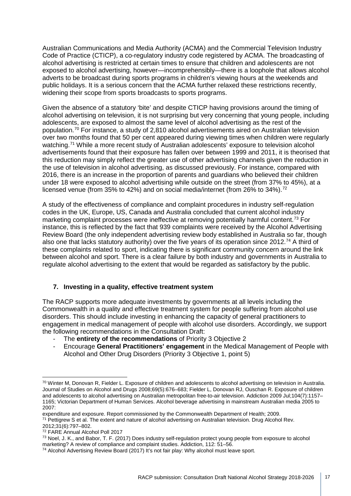Australian Communications and Media Authority (ACMA) and the Commercial Television Industry Code of Practice (CTICP), a co-regulatory industry code registered by ACMA. The broadcasting of alcohol advertising is restricted at certain times to ensure that children and adolescents are not exposed to alcohol advertising, however—incomprehensibly—there is a loophole that allows alcohol adverts to be broadcast during sports programs in children's viewing hours at the weekends and public holidays. It is a serious concern that the ACMA further relaxed these restrictions recently, widening their scope from sports broadcasts to sports programs.

Given the absence of a statutory 'bite' and despite CTICP having provisions around the timing of alcohol advertising on television, it is not surprising but very concerning that young people, including adolescents, are exposed to almost the same level of alcohol advertising as the rest of the population.[70](#page-16-0) For instance, a study of 2,810 alcohol advertisements aired on Australian television over two months found that 50 per cent appeared during viewing times when children were regularly watching.<sup>[71](#page-16-1)</sup> While a more recent study of Australian adolescents' exposure to television alcohol advertisements found that their exposure has fallen over between 1999 and 2011, it is theorised that this reduction may simply reflect the greater use of other advertising channels given the reduction in the use of television in alcohol advertising, as discussed previously. For instance, compared with 2016, there is an increase in the proportion of parents and guardians who believed their children under 18 were exposed to alcohol advertising while outside on the street (from 37% to 45%), at a licensed venue (from 35% to 42%) and on social media/internet (from 26% to 34%).<sup>[72](#page-16-2)</sup>

A study of the effectiveness of compliance and complaint procedures in industry self-regulation codes in the UK, Europe, US, Canada and Australia concluded that current alcohol industry marketing complaint processes were ineffective at removing potentially harmful content.<sup>[73](#page-16-3)</sup> For instance, this is reflected by the fact that 939 complaints were received by the Alcohol Advertising Review Board (the only independent advertising review body established in Australia so far, though also one that lacks statutory authority) over the five years of its operation since 2012.<sup>[74](#page-16-4)</sup> A third of these complaints related to sport, indicating there is significant community concern around the link between alcohol and sport. There is a clear failure by both industry and governments in Australia to regulate alcohol advertising to the extent that would be regarded as satisfactory by the public.

## **7. Investing in a quality, effective treatment system**

The RACP supports more adequate investments by governments at all levels including the Commonwealth in a quality and effective treatment system for people suffering from alcohol use disorders. This should include investing in enhancing the capacity of general practitioners to engagement in medical management of people with alcohol use disorders. Accordingly, we support the following recommendations in the Consultation Draft:

- The **entirety of the recommendations** of Priority 3 Objective 2
- Encourage **General Practitioners' engagement** in the Medical Management of People with Alcohol and Other Drug Disorders (Priority 3 Objective 1, point 5)

<span id="page-16-1"></span><sup>71</sup> Pettigrew S et al. The extent and nature of alcohol advertising on Australian television. Drug Alcohol Rev.

<span id="page-16-0"></span><sup>70</sup> Winter M, Donovan R, Fielder L. Exposure of children and adolescents to alcohol advertising on television in Australia. Journal of Studies on Alcohol and Drugs 2008;69(5):676–683; Fielder L, Donovan RJ, Ouschan R. Exposure of children and adolescents to alcohol advertising on Australian metropolitan free-to-air television. Addiction 2009 Jul;104(7):1157– 1165; Victorian Department of Human Services. Alcohol beverage advertising in mainstream Australian media 2005 to 2007:

expenditure and exposure. Report commissioned by the Commonwealth Department of Health; 2009.

<sup>2012;31(6):797–802.</sup>

<span id="page-16-2"></span><sup>72</sup> FARE Annual Alcohol Poll 2017

<span id="page-16-3"></span><sup>&</sup>lt;sup>73</sup> Noel, J. K., and Babor, T. F. (2017) Does industry self-regulation protect young people from exposure to alcohol marketing? A review of compliance and complaint studies. Addiction, 112: 51–56.

<span id="page-16-4"></span><sup>&</sup>lt;sup>74</sup> Alcohol Advertising Review Board (2017) It's not fair play: Why alcohol must leave sport.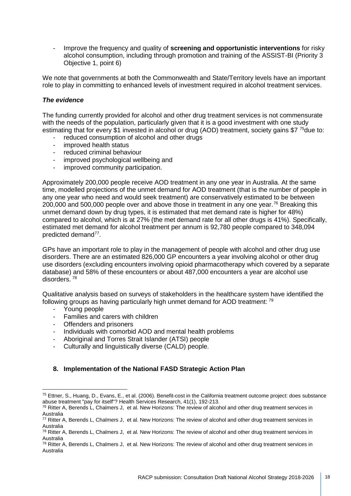- Improve the frequency and quality of **screening and opportunistic interventions** for risky alcohol consumption, including through promotion and training of the ASSIST-BI (Priority 3 Objective 1, point 6)

We note that governments at both the Commonwealth and State/Territory levels have an important role to play in committing to enhanced levels of investment required in alcohol treatment services.

### *The evidence*

The funding currently provided for alcohol and other drug treatment services is not commensurate with the needs of the population, particularly given that it is a good investment with one study estimating that for every \$1 invested in alcohol or drug (AOD) treatment, society gains \$7<sup>75</sup>due to:

- reduced consumption of alcohol and other drugs
- improved health status
- reduced criminal behaviour
- improved psychological wellbeing and
- improved community participation.

Approximately 200,000 people receive AOD treatment in any one year in Australia. At the same time, modelled projections of the unmet demand for AOD treatment (that is the number of people in any one year who need and would seek treatment) are conservatively estimated to be between 200,000 and 500,000 people over and above those in treatment in any one year.<sup>[76](#page-17-1)</sup> Breaking this unmet demand down by drug types, it is estimated that met demand rate is higher for 48%) compared to alcohol, which is at 27% (the met demand rate for all other drugs is 41%). Specifically, estimated met demand for alcohol treatment per annum is 92,780 people compared to 348,094 predicted demand[77](#page-17-2).

GPs have an important role to play in the management of people with alcohol and other drug use disorders. There are an estimated 826,000 GP encounters a year involving alcohol or other drug use disorders (excluding encounters involving opioid pharmacotherapy which covered by a separate database) and 58% of these encounters or about 487,000 encounters a year are alcohol use disorders. [78](#page-17-3)

Qualitative analysis based on surveys of stakeholders in the healthcare system have identified the following groups as having particularly high unmet demand for AOD treatment: [79](#page-17-4)

- Young people
- Families and carers with children
- Offenders and prisoners
- Individuals with comorbid AOD and mental health problems
- Aboriginal and Torres Strait Islander (ATSI) people
- Culturally and linguistically diverse (CALD) people.

### **8. Implementation of the National FASD Strategic Action Plan**

<span id="page-17-0"></span><sup>75</sup> Ettner, S., Huang, D., Evans, E., et al. (2006). Benefit-cost in the California treatment outcome project: does substance abuse treatment "pay for itself"? Health Services Research, 41(1), 192-213.

<span id="page-17-1"></span> $76$  Ritter A, Berends L, Chalmers J, et al. New Horizons: The review of alcohol and other drug treatment services in Australia

<span id="page-17-2"></span> $77$  Ritter A, Berends L, Chalmers J, et al. New Horizons: The review of alcohol and other drug treatment services in Australia

<span id="page-17-3"></span><sup>78</sup> Ritter A, Berends L, Chalmers J, et al. New Horizons: The review of alcohol and other drug treatment services in Australia

<span id="page-17-4"></span> $79$  Ritter A, Berends L, Chalmers J, et al. New Horizons: The review of alcohol and other drug treatment services in Australia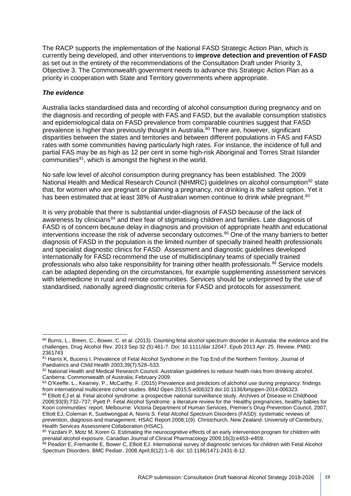The RACP supports the implementation of the National FASD Strategic Action Plan, which is currently being developed, and other interventions to **improve detection and prevention of FASD** as set out in the entirety of the recommendations of the Consultation Draft under Priority 3, Objective 3. The Commonwealth government needs to advance this Strategic Action Plan as a priority in cooperation with State and Territory governments where appropriate.

### *The evidence*

Australia lacks standardised data and recording of alcohol consumption during pregnancy and on the diagnosis and recording of people with FAS and FASD, but the available consumption statistics and epidemiological data on FASD prevalence from comparable countries suggest that FASD prevalence is higher than previously thought in Australia.<sup>[80](#page-18-0)</sup> There are, however, significant disparities between the states and territories and between different populations in FAS and FASD rates with some communities having particularly high rates. For instance, the incidence of full and partial FAS may be as high as 12 per cent in some high-risk Aboriginal and Torres Strait Islander communities<sup>81</sup>, which is amongst the highest in the world.

No safe low level of alcohol consumption during pregnancy has been established. The 2009 National Health and Medical Research Council (NHMRC) guidelines on alcohol consumption<sup>[82](#page-18-2)</sup> state that, for women who are pregnant or planning a pregnancy, not drinking is the safest option. Yet it has been estimated that at least 38% of Australian women continue to drink while pregnant.<sup>[83](#page-18-3)</sup>

It is very probable that there is substantial under-diagnosis of FASD because of the lack of awareness by clinicians<sup>[84](#page-18-4)</sup> and their fear of stigmatising children and families. Late diagnosis of FASD is of concern because delay in diagnosis and provision of appropriate health and educational interventions increase the risk of adverse secondary outcomes.[85](#page-18-5) One of the many barriers to better diagnosis of FASD in the population is the limited number of specially trained health professionals and specialist diagnostic clinics for FASD. Assessment and diagnostic guidelines developed internationally for FASD recommend the use of multidisciplinary teams of specially trained professionals who also take responsibility for training other health professionals.<sup>[86](#page-18-6)</sup> Service models can be adapted depending on the circumstances, for example supplementing assessment services with telemedicine in rural and remote communities. Services should be underpinned by the use of standardised, nationally agreed diagnostic criteria for FASD and protocols for assessment.

<span id="page-18-3"></span>83 O'Keeffe. L., Kearney. P., McCarthy. F. (2015) Prevalence and predictors of alchohol use during pregnancy: findings from international multicentre cohort studies. BMJ Open 2015;5:e006323 doi:10.1136/bmjopen-2014-006323.

<span id="page-18-0"></span><sup>80</sup> Burns, L., Breen, C., Bower, C. et al. (2013). Counting fetal alcohol spectrum disorder in Australia: the evidence and the challenges. Drug Alcohol Rev. 2013 Sep 32 (5):461-7. Doi: 10.1111/dar.12047. Epub 2013 Apr. 25. Review. PMID: 2361743

<span id="page-18-1"></span><sup>81</sup> Harris K, Bucens I. Prevalence of Fetal Alcohol Syndrome in the Top End of the Northern Territory. Journal of Paediatrics and Child Health 2003;39(7):528–533.

<span id="page-18-2"></span><sup>82</sup> National Health and Medical Research Council. Australian guidelines to reduce health risks from drinking alcohol. Canberra: Commonwealth of Australia; February 2009.

<span id="page-18-4"></span><sup>&</sup>lt;sup>84</sup> Elliott EJ et al. Fetal alcohol syndrome: a prospective national surveillance study. Archives of Disease in Childhood 2008;93(9):732–737; Pyett P. Fetal Alcohol Syndrome: a literature review for the 'Healthy pregnancies, healthy babies for Koori communities' report. Melbourne: Victoria Department of Human Services, Premier's Drug Prevention Council, 2007; Elliott EJ, Coleman K, Suebwongpat A, Norris S. Fetal Alcohol Spectrum Disorders (FASD): systematic reviews of prevention, diagnosis and management. HSAC Report 2008;1(9). Christchurch, New Zealand: University of Canterbury, Health Services Assessment Collaboration (HSAC).

<span id="page-18-5"></span><sup>85</sup> Yazdani P, Motz M, Koren G. Estimating the neurocognitive effects of an early intervention program for children with prenatal alcohol exposure. Canadian Journal of Clinical Pharmacology 2009;16(3):e453–e459.

<span id="page-18-6"></span><sup>86</sup> Peadon E, Fremantle E, Bower C, Elliott EJ. International survey of diagnostic services for children with Fetal Alcohol Spectrum Disorders. BMC Pediatr. 2008 April;8(12):1–8. doi: 10.1186/1471-2431-8-12.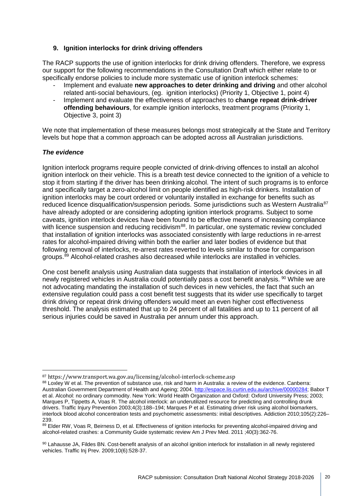### **9. Ignition interlocks for drink driving offenders**

The RACP supports the use of ignition interlocks for drink driving offenders. Therefore, we express our support for the following recommendations in the Consultation Draft which either relate to or specifically endorse policies to include more systematic use of ignition interlock schemes:

- Implement and evaluate **new approaches to deter drinking and driving** and other alcohol related anti-social behaviours, (eg. ignition interlocks) (Priority 1, Objective 1, point 4)
- Implement and evaluate the effectiveness of approaches to **change repeat drink-driver offending behaviours**, for example ignition interlocks, treatment programs (Priority 1, Objective 3, point 3)

We note that implementation of these measures belongs most strategically at the State and Territory levels but hope that a common approach can be adopted across all Australian jurisdictions.

### *The evidence*

Ignition interlock programs require people convicted of drink-driving offences to install an alcohol ignition interlock on their vehicle. This is a breath test device connected to the ignition of a vehicle to stop it from starting if the driver has been drinking alcohol. The intent of such programs is to enforce and specifically target a zero-alcohol limit on people identified as high-risk drinkers. Installation of ignition interlocks may be court ordered or voluntarily installed in exchange for benefits such as reduced licence disqualification/suspension periods. Some jurisdictions such as Western Australia<sup>[87](#page-19-0)</sup> have already adopted or are considering adopting ignition interlock programs. Subject to some caveats, ignition interlock devices have been found to be effective means of increasing compliance with licence suspension and reducing recidivism<sup>[88](#page-19-1)</sup>. In particular, one systematic review concluded that installation of ignition interlocks was associated consistently with large reductions in re-arrest rates for alcohol-impaired driving within both the earlier and later bodies of evidence but that following removal of interlocks, re-arrest rates reverted to levels similar to those for comparison groups. $89$  Alcohol-related crashes also decreased while interlocks are installed in vehicles.

One cost benefit analysis using Australian data suggests that installation of interlock devices in all newly registered vehicles in Australia could potentially pass a cost benefit analysis. <sup>[90](#page-19-3)</sup> While we are not advocating mandating the installation of such devices in new vehicles, the fact that such an extensive regulation could pass a cost benefit test suggests that its wider use specifically to target drink driving or repeat drink driving offenders would meet an even higher cost effectiveness threshold. The analysis estimated that up to 24 percent of all fatalities and up to 11 percent of all serious injuries could be saved in Australia per annum under this approach.

<span id="page-19-1"></span><span id="page-19-0"></span> $87$  https://www.transport.wa.gov.au/licensing/alcohol-interlock-scheme.asp<br> $88$  Loxley W et al. The prevention of substance use, risk and harm in Australia: a review of the evidence. Canberra: Australian Government Department of Health and Ageing; 2004. [http://espace.lis.curtin.edu.au/archive/00000284;](http://espace.lis.curtin.edu.au/archive/00000284) Babor T et al. Alcohol: no ordinary commodity. New York: World Health Organization and Oxford: Oxford University Press; 2003; Marques P, Tippetts A, Voas R. The alcohol interlock: an underutilized resource for predicting and controlling drunk drivers. Traffic Injury Prevention 2003;4(3):188–194; Marques P et al. Estimating driver risk using alcohol biomarkers, interlock blood alcohol concentration tests and psychometric assessments: initial descriptives. Addiction 2010;105(2):226– 239.

<span id="page-19-2"></span><sup>89</sup> Elder RW, Voas R, Beirness D, et al. Effectiveness of ignition interlocks for preventing alcohol-impaired driving and alcohol-related crashes: a Community Guide systematic review Am J Prev Med. 2011 ;40(3):362-76.

<span id="page-19-3"></span><sup>90</sup> Lahausse JA, Fildes BN. Cost-benefit analysis of an alcohol ignition interlock for installation in all newly registered vehicles. Traffic Inj Prev. 2009;10(6):528-37.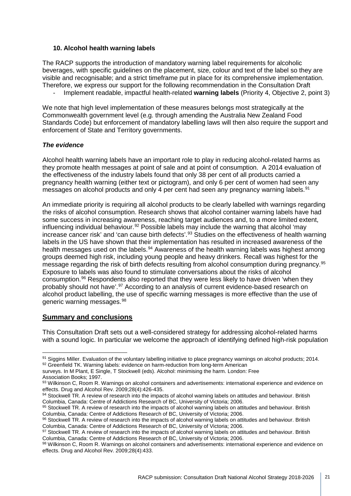### **10. Alcohol health warning labels**

The RACP supports the introduction of mandatory warning label requirements for alcoholic beverages, with specific guidelines on the placement, size, colour and text of the label so they are visible and recognisable; and a strict timeframe put in place for its comprehensive implementation. Therefore, we express our support for the following recommendation in the Consultation Draft

- Implement readable, impactful health-related **warning labels** (Priority 4, Objective 2, point 3)

We note that high level implementation of these measures belongs most strategically at the Commonwealth government level (e.g. through amending the Australia New Zealand Food Standards Code) but enforcement of mandatory labelling laws will then also require the support and enforcement of State and Territory governments.

### *The evidence*

Alcohol health warning labels have an important role to play in reducing alcohol-related harms as they promote health messages at point of sale and at point of consumption. A 2014 evaluation of the effectiveness of the industry labels found that only 38 per cent of all products carried a pregnancy health warning (either text or pictogram), and only 6 per cent of women had seen any messages on alcohol products and only 4 per cent had seen any pregnancy warning labels.<sup>[91](#page-20-0)</sup>

An immediate priority is requiring all alcohol products to be clearly labelled with warnings regarding the risks of alcohol consumption. Research shows that alcohol container warning labels have had some success in increasing awareness, reaching target audiences and, to a more limited extent, influencing individual behaviour.<sup>[92](#page-20-1)</sup> Possible labels may include the warning that alcohol 'may increase cancer risk' and 'can cause birth defects'.[93](#page-20-2) Studies on the effectiveness of health warning labels in the US have shown that their implementation has resulted in increased awareness of the health messages used on the labels.<sup>[94](#page-20-3)</sup> Awareness of the health warning labels was highest among groups deemed high risk, including young people and heavy drinkers. Recall was highest for the message regarding the risk of birth defects resulting from alcohol consumption during pregnancy.<sup>[95](#page-20-4)</sup> Exposure to labels was also found to stimulate conversations about the risks of alcohol consumption.[96](#page-20-5) Respondents also reported that they were less likely to have driven 'when they probably should not have'.<sup>[97](#page-20-6)</sup> According to an analysis of current evidence-based research on alcohol product labelling, the use of specific warning messages is more effective than the use of generic warning messages.[98](#page-20-7)

## **Summary and conclusions**

This Consultation Draft sets out a well-considered strategy for addressing alcohol-related harms with a sound logic. In particular we welcome the approach of identifying defined high-risk population

<span id="page-20-1"></span>surveys. In M Plant, E Single, T Stockwell (eds). Alcohol: minimising the harm. London: Free Association Books; 1997.

<span id="page-20-0"></span><sup>91</sup> Siggins Miller. Evaluation of the voluntary labelling initiative to place pregnancy warnings on alcohol products; 2014. 92 Greenfield TK. Warning labels: evidence on harm-reduction from long-term American

<span id="page-20-2"></span><sup>93</sup> Wilkinson C, Room R. Warnings on alcohol containers and advertisements: international experience and evidence on effects. Drug and Alcohol Rev. 2009;28(4):426-435.

<span id="page-20-3"></span><sup>94</sup> Stockwell TR. A review of research into the impacts of alcohol warning labels on attitudes and behaviour. British Columbia, Canada: Centre of Addictions Research of BC, University of Victoria; 2006.

<span id="page-20-4"></span><sup>95</sup> Stockwell TR. A review of research into the impacts of alcohol warning labels on attitudes and behaviour. British Columbia, Canada: Centre of Addictions Research of BC, University of Victoria; 2006.

<span id="page-20-5"></span><sup>96</sup> Stockwell TR. A review of research into the impacts of alcohol warning labels on attitudes and behaviour. British Columbia, Canada: Centre of Addictions Research of BC, University of Victoria; 2006.

<span id="page-20-6"></span><sup>97</sup> Stockwell TR. A review of research into the impacts of alcohol warning labels on attitudes and behaviour. British Columbia, Canada: Centre of Addictions Research of BC, University of Victoria; 2006.

<span id="page-20-7"></span><sup>98</sup> Wilkinson C, Room R. Warnings on alcohol containers and advertisements: international experience and evidence on effects. Drug and Alcohol Rev. 2009;28(4):433.